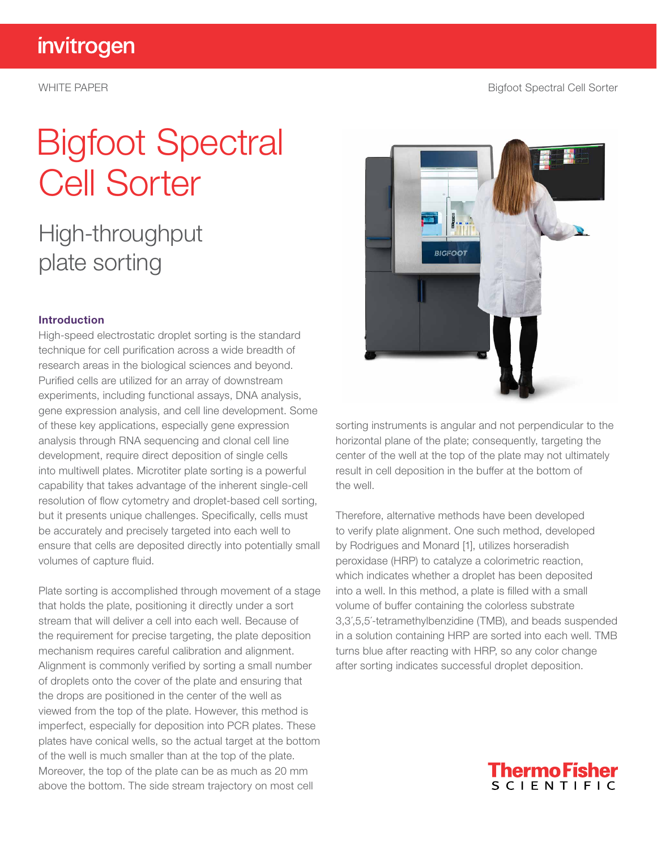WHITE PAPER **Bigfoot Spectral Cell Sorter** 

# Bigfoot Spectral Cell Sorter

### High-throughput plate sorting

#### Introduction

High-speed electrostatic droplet sorting is the standard technique for cell purification across a wide breadth of research areas in the biological sciences and beyond. Purified cells are utilized for an array of downstream experiments, including functional assays, DNA analysis, gene expression analysis, and cell line development. Some of these key applications, especially gene expression analysis through RNA sequencing and clonal cell line development, require direct deposition of single cells into multiwell plates. Microtiter plate sorting is a powerful capability that takes advantage of the inherent single-cell resolution of flow cytometry and droplet-based cell sorting, but it presents unique challenges. Specifically, cells must be accurately and precisely targeted into each well to ensure that cells are deposited directly into potentially small volumes of capture fluid.

Plate sorting is accomplished through movement of a stage that holds the plate, positioning it directly under a sort stream that will deliver a cell into each well. Because of the requirement for precise targeting, the plate deposition mechanism requires careful calibration and alignment. Alignment is commonly verified by sorting a small number of droplets onto the cover of the plate and ensuring that the drops are positioned in the center of the well as viewed from the top of the plate. However, this method is imperfect, especially for deposition into PCR plates. These plates have conical wells, so the actual target at the bottom of the well is much smaller than at the top of the plate. Moreover, the top of the plate can be as much as 20 mm above the bottom. The side stream trajectory on most cell



sorting instruments is angular and not perpendicular to the horizontal plane of the plate; consequently, targeting the center of the well at the top of the plate may not ultimately result in cell deposition in the buffer at the bottom of the well.

Therefore, alternative methods have been developed to verify plate alignment. One such method, developed by Rodrigues and Monard [1], utilizes horseradish peroxidase (HRP) to catalyze a colorimetric reaction, which indicates whether a droplet has been deposited into a well. In this method, a plate is filled with a small volume of buffer containing the colorless substrate 3,3�,5,5�-tetramethylbenzidine (TMB), and beads suspended in a solution containing HRP are sorted into each well. TMB turns blue after reacting with HRP, so any color change after sorting indicates successful droplet deposition.

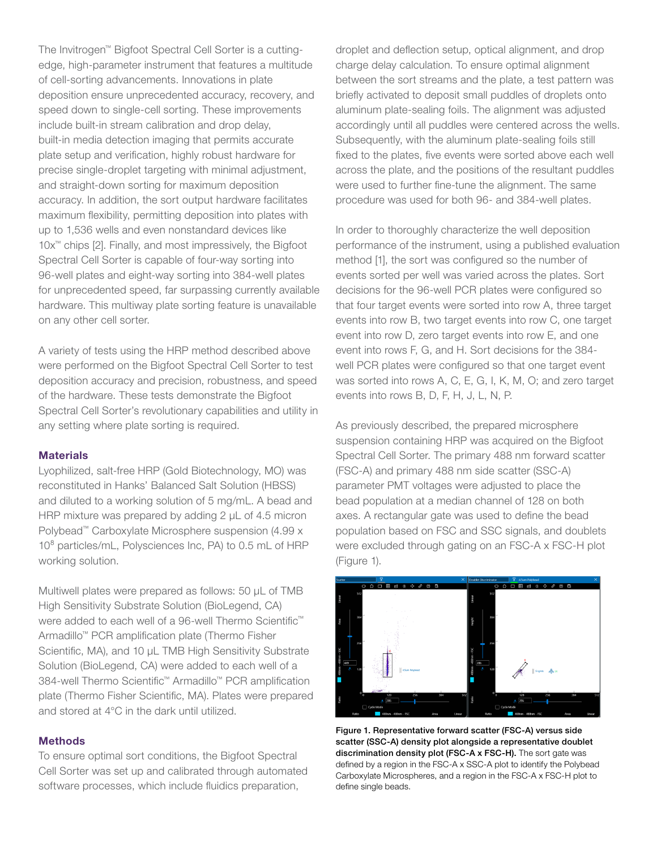The Invitrogen™ Bigfoot Spectral Cell Sorter is a cuttingedge, high-parameter instrument that features a multitude of cell-sorting advancements. Innovations in plate deposition ensure unprecedented accuracy, recovery, and speed down to single-cell sorting. These improvements include built-in stream calibration and drop delay, built-in media detection imaging that permits accurate plate setup and verification, highly robust hardware for precise single-droplet targeting with minimal adjustment, and straight-down sorting for maximum deposition accuracy. In addition, the sort output hardware facilitates maximum flexibility, permitting deposition into plates with up to 1,536 wells and even nonstandard devices like 10x™ chips [2]. Finally, and most impressively, the Bigfoot Spectral Cell Sorter is capable of four-way sorting into 96-well plates and eight-way sorting into 384-well plates for unprecedented speed, far surpassing currently available hardware. This multiway plate sorting feature is unavailable on any other cell sorter.

A variety of tests using the HRP method described above were performed on the Bigfoot Spectral Cell Sorter to test deposition accuracy and precision, robustness, and speed of the hardware. These tests demonstrate the Bigfoot Spectral Cell Sorter's revolutionary capabilities and utility in any setting where plate sorting is required.

#### **Materials**

Lyophilized, salt-free HRP (Gold Biotechnology, MO) was reconstituted in Hanks' Balanced Salt Solution (HBSS) and diluted to a working solution of 5 mg/mL. A bead and HRP mixture was prepared by adding 2 µL of 4.5 micron Polybead™ Carboxylate Microsphere suspension (4.99 x 10<sup>8</sup> particles/mL, Polysciences Inc, PA) to 0.5 mL of HRP working solution.

Multiwell plates were prepared as follows: 50 µL of TMB High Sensitivity Substrate Solution (BioLegend, CA) were added to each well of a 96-well Thermo Scientific<sup>™</sup> Armadillo™ PCR amplification plate (Thermo Fisher Scientific, MA), and 10 µL TMB High Sensitivity Substrate Solution (BioLegend, CA) were added to each well of a 384-well Thermo Scientific™ Armadillo™ PCR amplification plate (Thermo Fisher Scientific, MA). Plates were prepared and stored at 4°C in the dark until utilized.

#### **Methods**

To ensure optimal sort conditions, the Bigfoot Spectral Cell Sorter was set up and calibrated through automated software processes, which include fluidics preparation,

droplet and deflection setup, optical alignment, and drop charge delay calculation. To ensure optimal alignment between the sort streams and the plate, a test pattern was briefly activated to deposit small puddles of droplets onto aluminum plate-sealing foils. The alignment was adjusted accordingly until all puddles were centered across the wells. Subsequently, with the aluminum plate-sealing foils still fixed to the plates, five events were sorted above each well across the plate, and the positions of the resultant puddles were used to further fine-tune the alignment. The same procedure was used for both 96- and 384-well plates.

In order to thoroughly characterize the well deposition performance of the instrument, using a published evaluation method [1], the sort was configured so the number of events sorted per well was varied across the plates. Sort decisions for the 96-well PCR plates were configured so that four target events were sorted into row A, three target events into row B, two target events into row C, one target event into row D, zero target events into row E, and one event into rows F, G, and H. Sort decisions for the 384 well PCR plates were configured so that one target event was sorted into rows A, C, E, G, I, K, M, O; and zero target events into rows B, D, F, H, J, L, N, P.

As previously described, the prepared microsphere suspension containing HRP was acquired on the Bigfoot Spectral Cell Sorter. The primary 488 nm forward scatter (FSC-A) and primary 488 nm side scatter (SSC-A) parameter PMT voltages were adjusted to place the bead population at a median channel of 128 on both axes. A rectangular gate was used to define the bead population based on FSC and SSC signals, and doublets were excluded through gating on an FSC-A x FSC-H plot (Figure 1).



Figure 1. Representative forward scatter (FSC-A) versus side scatter (SSC-A) density plot alongside a representative doublet discrimination density plot (FSC-A x FSC-H). The sort gate was defined by a region in the FSC-A x SSC-A plot to identify the Polybead Carboxylate Microspheres, and a region in the FSC-A x FSC-H plot to define single beads.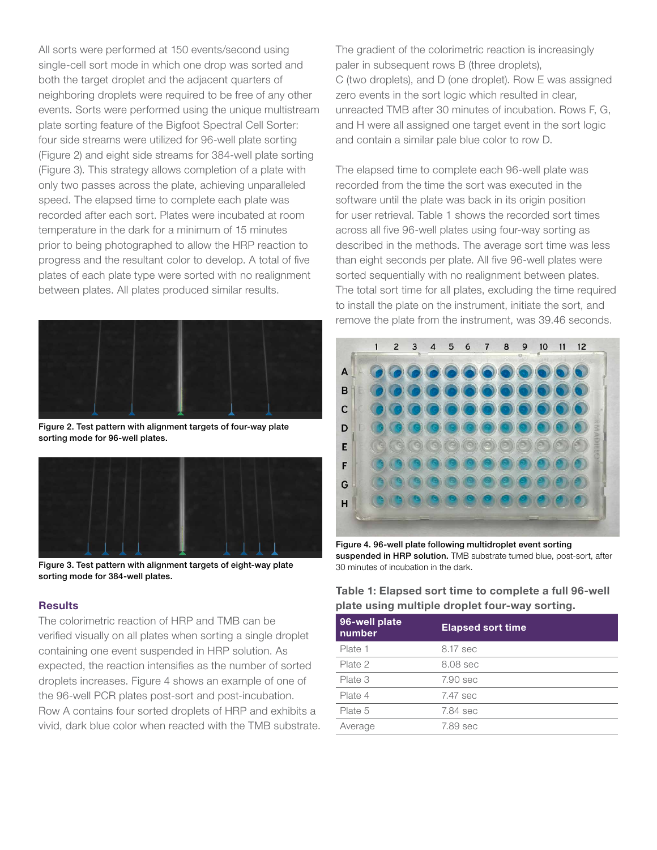All sorts were performed at 150 events/second using single-cell sort mode in which one drop was sorted and both the target droplet and the adjacent quarters of neighboring droplets were required to be free of any other events. Sorts were performed using the unique multistream plate sorting feature of the Bigfoot Spectral Cell Sorter: four side streams were utilized for 96-well plate sorting (Figure 2) and eight side streams for 384-well plate sorting (Figure 3). This strategy allows completion of a plate with only two passes across the plate, achieving unparalleled speed. The elapsed time to complete each plate was recorded after each sort. Plates were incubated at room temperature in the dark for a minimum of 15 minutes prior to being photographed to allow the HRP reaction to progress and the resultant color to develop. A total of five plates of each plate type were sorted with no realignment between plates. All plates produced similar results.



Figure 2. Test pattern with alignment targets of four-way plate sorting mode for 96-well plates.



Figure 3. Test pattern with alignment targets of eight-way plate sorting mode for 384-well plates.

#### **Results**

The colorimetric reaction of HRP and TMB can be verified visually on all plates when sorting a single droplet containing one event suspended in HRP solution. As expected, the reaction intensifies as the number of sorted droplets increases. Figure 4 shows an example of one of the 96-well PCR plates post-sort and post-incubation. Row A contains four sorted droplets of HRP and exhibits a vivid, dark blue color when reacted with the TMB substrate. The gradient of the colorimetric reaction is increasingly paler in subsequent rows B (three droplets), C (two droplets), and D (one droplet). Row E was assigned zero events in the sort logic which resulted in clear, unreacted TMB after 30 minutes of incubation. Rows F, G, and H were all assigned one target event in the sort logic and contain a similar pale blue color to row D.

The elapsed time to complete each 96-well plate was recorded from the time the sort was executed in the software until the plate was back in its origin position for user retrieval. Table 1 shows the recorded sort times across all five 96-well plates using four-way sorting as described in the methods. The average sort time was less than eight seconds per plate. All five 96-well plates were sorted sequentially with no realignment between plates. The total sort time for all plates, excluding the time required to install the plate on the instrument, initiate the sort, and remove the plate from the instrument, was 39.46 seconds.



Figure 4. 96-well plate following multidroplet event sorting suspended in HRP solution. TMB substrate turned blue, post-sort, after 30 minutes of incubation in the dark.

#### Table 1: Elapsed sort time to complete a full 96-well plate using multiple droplet four-way sorting.

| 96-well plate<br>number | <b>Elapsed sort time</b> |
|-------------------------|--------------------------|
| Plate 1                 | 8.17 sec                 |
| Plate 2                 | 8.08 sec                 |
| Plate 3                 | 7.90 sec                 |
| Plate 4                 | 7.47 sec                 |
| Plate 5                 | 7.84 sec                 |
| Average                 | 7.89 sec                 |
|                         |                          |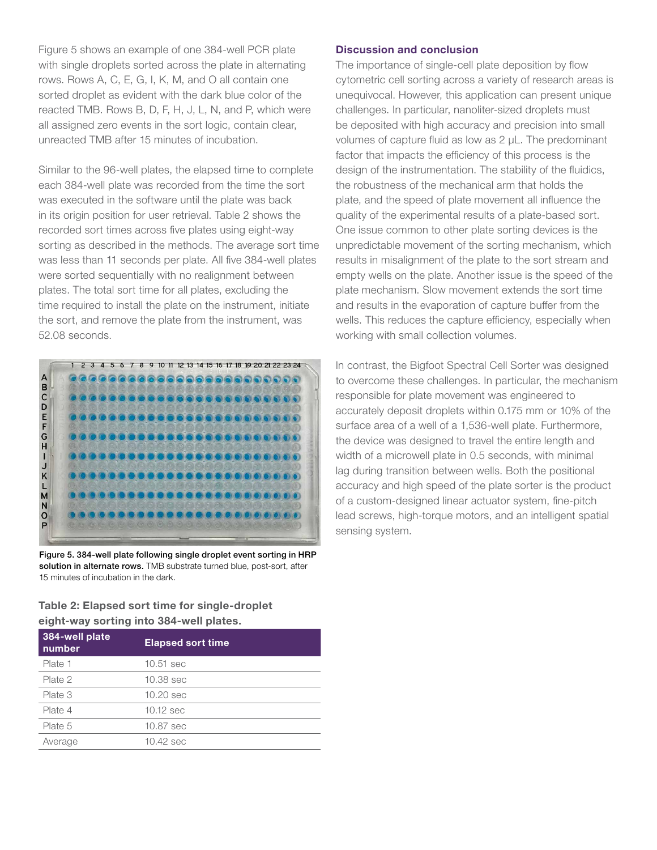Figure 5 shows an example of one 384-well PCR plate with single droplets sorted across the plate in alternating rows. Rows A, C, E, G, I, K, M, and O all contain one sorted droplet as evident with the dark blue color of the reacted TMB. Rows B, D, F, H, J, L, N, and P, which were all assigned zero events in the sort logic, contain clear, unreacted TMB after 15 minutes of incubation.

Similar to the 96-well plates, the elapsed time to complete each 384-well plate was recorded from the time the sort was executed in the software until the plate was back in its origin position for user retrieval. Table 2 shows the recorded sort times across five plates using eight-way sorting as described in the methods. The average sort time was less than 11 seconds per plate. All five 384-well plates were sorted sequentially with no realignment between plates. The total sort time for all plates, excluding the time required to install the plate on the instrument, initiate the sort, and remove the plate from the instrument, was 52.08 seconds.



Figure 5. 384-well plate following single droplet event sorting in HRP solution in alternate rows. TMB substrate turned blue, post-sort, after 15 minutes of incubation in the dark.

Table 2: Elapsed sort time for single-droplet eight-way sorting into 384-well plates.

| 384-well plate<br>number | <b>Elapsed sort time</b> |
|--------------------------|--------------------------|
| Plate 1                  | 10.51 sec                |
| Plate 2                  | 10.38 sec                |
| Plate 3                  | 10.20 sec                |
| Plate 4                  | $10.12$ sec              |
| Plate 5                  | 10.87 sec                |
| Average                  | 10.42 sec                |

#### Discussion and conclusion

The importance of single-cell plate deposition by flow cytometric cell sorting across a variety of research areas is unequivocal. However, this application can present unique challenges. In particular, nanoliter-sized droplets must be deposited with high accuracy and precision into small volumes of capture fluid as low as 2 µL. The predominant factor that impacts the efficiency of this process is the design of the instrumentation. The stability of the fluidics, the robustness of the mechanical arm that holds the plate, and the speed of plate movement all influence the quality of the experimental results of a plate-based sort. One issue common to other plate sorting devices is the unpredictable movement of the sorting mechanism, which results in misalignment of the plate to the sort stream and empty wells on the plate. Another issue is the speed of the plate mechanism. Slow movement extends the sort time and results in the evaporation of capture buffer from the wells. This reduces the capture efficiency, especially when working with small collection volumes.

In contrast, the Bigfoot Spectral Cell Sorter was designed to overcome these challenges. In particular, the mechanism responsible for plate movement was engineered to accurately deposit droplets within 0.175 mm or 10% of the surface area of a well of a 1,536-well plate. Furthermore, the device was designed to travel the entire length and width of a microwell plate in 0.5 seconds, with minimal lag during transition between wells. Both the positional accuracy and high speed of the plate sorter is the product of a custom-designed linear actuator system, fine-pitch lead screws, high-torque motors, and an intelligent spatial sensing system.